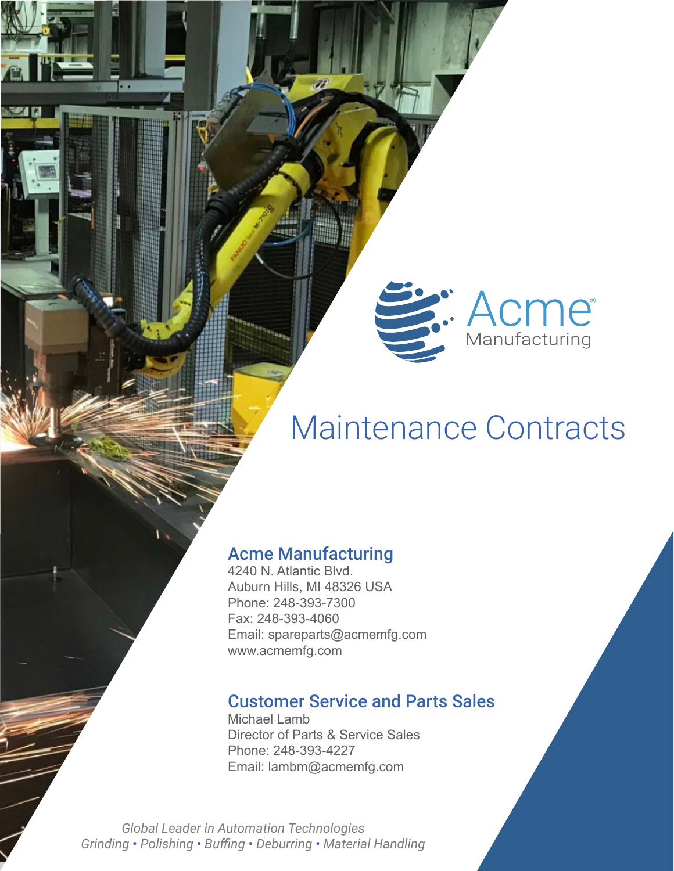# Maintenance Contracts

S. Acme

## Acme Manufacturing

4240 N. Atlantic Blvd. Auburn Hills, MI 48326 USA Phone: 248-393-7300 Fax: 248-393-4060 Email: spareparts@acmemfg.com www.acmemfg.com

### Customer Service and Parts Sales

Michael Lamb Director of Parts & Service Sales Phone: 248-393-4227 Email: lambm@acmemfg.com

*Global Leader in Automation Technologies Grinding* • *Polishing* • *Buffing* • *Deburring* • *Material Handling*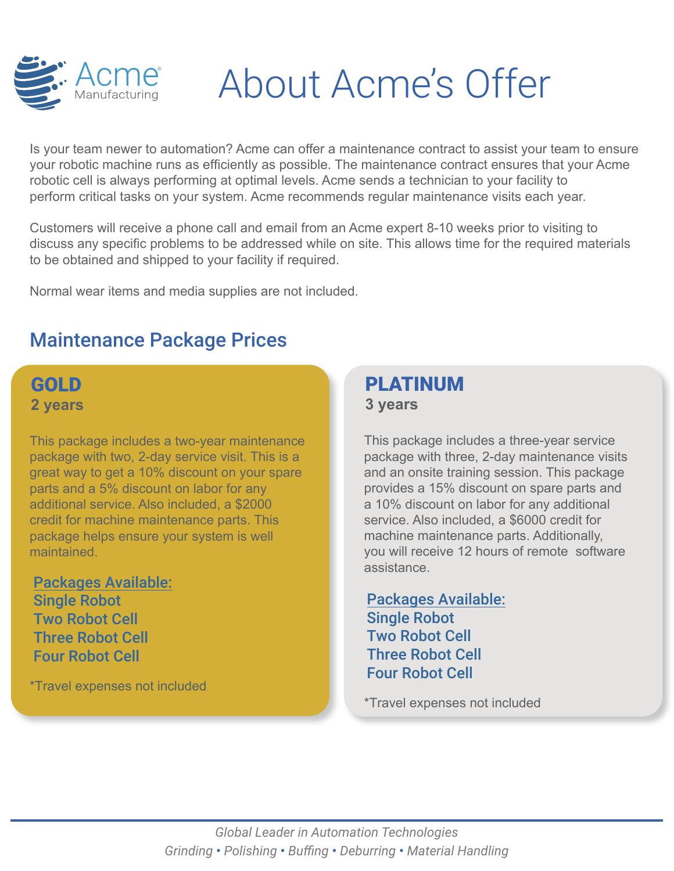

# About Acme's Offer

Is your team newer to automation? Acme can offer a maintenance contract to assist your team to ensure your robotic machine runs as efficiently as possible. The maintenance contract ensures that your Acme robotic cell is always performing at optimal levels. Acme sends a technician to your facility to perform critical tasks on your system. Acme recommends regular maintenance visits each year.

Customers will receive a phone call and email from an Acme expert 8-10 weeks prior to visiting to discuss any specific problems to be addressed while on site. This allows time for the required materials to be obtained and shipped to your facility if required.

Normal wear items and media supplies are not included.

# Maintenance Package Prices

# GOLD **2 years**

This package includes a two-year maintenance package with two, 2-day service visit. This is a great way to get a 10% discount on your spare parts and a 5% discount on labor for any additional service. Also included, a \$2000 credit for machine maintenance parts. This package helps ensure your system is well maintained.

Packages Available: Single Robot Two Robot Cell Three Robot Cell Four Robot Cell

\*Travel expenses not included

## **PI ATINUM 3 years**

This package includes a three-year service package with three, 2-day maintenance visits and an onsite training session. This package provides a 15% discount on spare parts and a 10% discount on labor for any additional service. Also included, a \$6000 credit for machine maintenance parts. Additionally, you will receive 12 hours of remote software assistance.

Packages Available: Single Robot Two Robot Cell Three Robot Cell Four Robot Cell

\*Travel expenses not included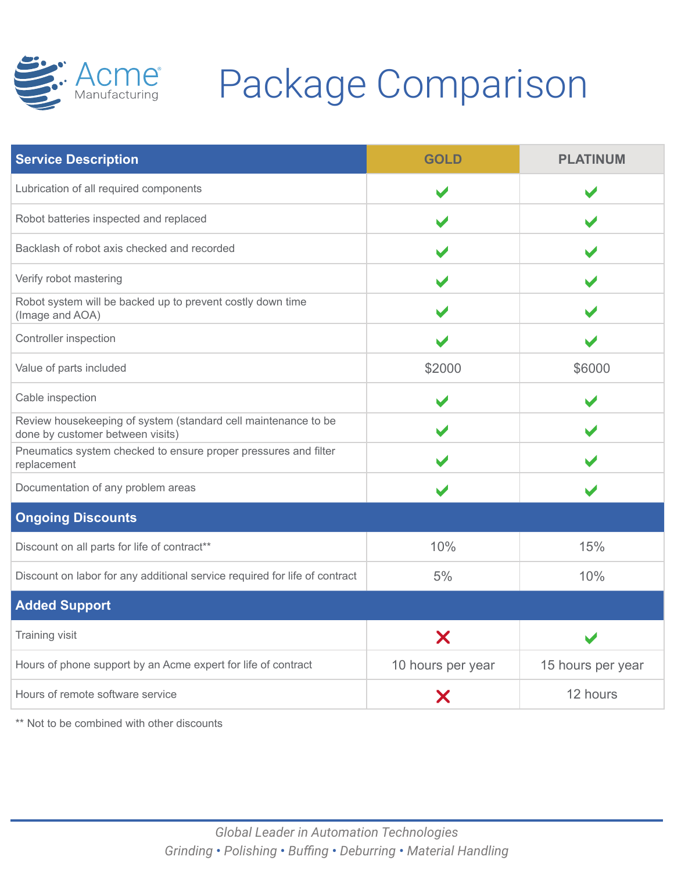

# Acme<sup>e</sup> Package Comparison

| <b>Service Description</b>                                                                         | <b>GOLD</b>       | <b>PLATINUM</b>   |
|----------------------------------------------------------------------------------------------------|-------------------|-------------------|
| Lubrication of all required components                                                             |                   |                   |
| Robot batteries inspected and replaced                                                             |                   |                   |
| Backlash of robot axis checked and recorded                                                        |                   |                   |
| Verify robot mastering                                                                             |                   |                   |
| Robot system will be backed up to prevent costly down time<br>(Image and AOA)                      |                   |                   |
| Controller inspection                                                                              |                   |                   |
| Value of parts included                                                                            | \$2000            | \$6000            |
| Cable inspection                                                                                   |                   |                   |
| Review housekeeping of system (standard cell maintenance to be<br>done by customer between visits) |                   |                   |
| Pneumatics system checked to ensure proper pressures and filter<br>replacement                     |                   |                   |
| Documentation of any problem areas                                                                 |                   |                   |
| <b>Ongoing Discounts</b>                                                                           |                   |                   |
| Discount on all parts for life of contract**                                                       | 10%               | 15%               |
| Discount on labor for any additional service required for life of contract                         | 5%                | 10%               |
| <b>Added Support</b>                                                                               |                   |                   |
| Training visit                                                                                     | X                 |                   |
| Hours of phone support by an Acme expert for life of contract                                      | 10 hours per year | 15 hours per year |
| Hours of remote software service                                                                   | Χ                 | 12 hours          |

\*\* Not to be combined with other discounts